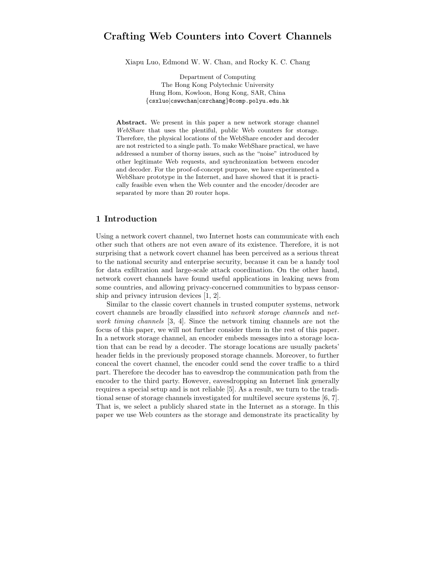# Crafting Web Counters into Covert Channels

Xiapu Luo, Edmond W. W. Chan, and Rocky K. C. Chang

Department of Computing The Hong Kong Polytechnic University Hung Hom, Kowloon, Hong Kong, SAR, China {csxluo|cswwchan|csrchang}@comp.polyu.edu.hk

Abstract. We present in this paper a new network storage channel WebShare that uses the plentiful, public Web counters for storage. Therefore, the physical locations of the WebShare encoder and decoder are not restricted to a single path. To make WebShare practical, we have addressed a number of thorny issues, such as the "noise" introduced by other legitimate Web requests, and synchronization between encoder and decoder. For the proof-of-concept purpose, we have experimented a WebShare prototype in the Internet, and have showed that it is practically feasible even when the Web counter and the encoder/decoder are separated by more than 20 router hops.

## 1 Introduction

Using a network covert channel, two Internet hosts can communicate with each other such that others are not even aware of its existence. Therefore, it is not surprising that a network covert channel has been perceived as a serious threat to the national security and enterprise security, because it can be a handy tool for data exfiltration and large-scale attack coordination. On the other hand, network covert channels have found useful applications in leaking news from some countries, and allowing privacy-concerned communities to bypass censorship and privacy intrusion devices [1, 2].

Similar to the classic covert channels in trusted computer systems, network covert channels are broadly classified into network storage channels and network timing channels [3, 4]. Since the network timing channels are not the focus of this paper, we will not further consider them in the rest of this paper. In a network storage channel, an encoder embeds messages into a storage location that can be read by a decoder. The storage locations are usually packets' header fields in the previously proposed storage channels. Moreover, to further conceal the covert channel, the encoder could send the cover traffic to a third part. Therefore the decoder has to eavesdrop the communication path from the encoder to the third party. However, eavesdropping an Internet link generally requires a special setup and is not reliable [5]. As a result, we turn to the traditional sense of storage channels investigated for multilevel secure systems [6, 7]. That is, we select a publicly shared state in the Internet as a storage. In this paper we use Web counters as the storage and demonstrate its practicality by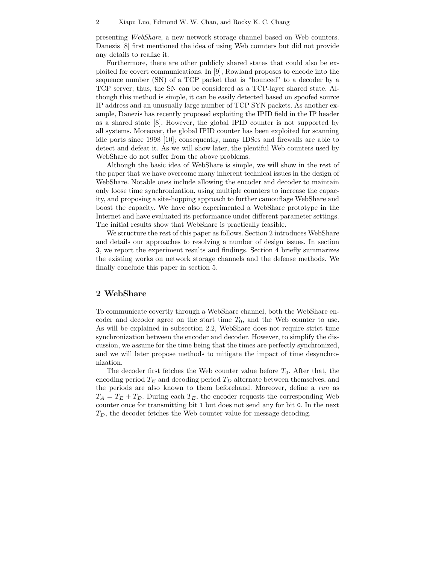presenting WebShare, a new network storage channel based on Web counters. Danezis [8] first mentioned the idea of using Web counters but did not provide any details to realize it.

Furthermore, there are other publicly shared states that could also be exploited for covert communications. In [9], Rowland proposes to encode into the sequence number (SN) of a TCP packet that is "bounced" to a decoder by a TCP server; thus, the SN can be considered as a TCP-layer shared state. Although this method is simple, it can be easily detected based on spoofed source IP address and an unusually large number of TCP SYN packets. As another example, Danezis has recently proposed exploiting the IPID field in the IP header as a shared state [8]. However, the global IPID counter is not supported by all systems. Moreover, the global IPID counter has been exploited for scanning idle ports since 1998 [10]; consequently, many IDSes and firewalls are able to detect and defeat it. As we will show later, the plentiful Web counters used by WebShare do not suffer from the above problems.

Although the basic idea of WebShare is simple, we will show in the rest of the paper that we have overcome many inherent technical issues in the design of WebShare. Notable ones include allowing the encoder and decoder to maintain only loose time synchronization, using multiple counters to increase the capacity, and proposing a site-hopping approach to further camouflage WebShare and boost the capacity. We have also experimented a WebShare prototype in the Internet and have evaluated its performance under different parameter settings. The initial results show that WebShare is practically feasible.

We structure the rest of this paper as follows. Section 2 introduces WebShare and details our approaches to resolving a number of design issues. In section 3, we report the experiment results and findings. Section 4 briefly summarizes the existing works on network storage channels and the defense methods. We finally conclude this paper in section 5.

## 2 WebShare

To communicate covertly through a WebShare channel, both the WebShare encoder and decoder agree on the start time  $T_0$ , and the Web counter to use. As will be explained in subsection 2.2, WebShare does not require strict time synchronization between the encoder and decoder. However, to simplify the discussion, we assume for the time being that the times are perfectly synchronized, and we will later propose methods to mitigate the impact of time desynchronization.

The decoder first fetches the Web counter value before  $T_0$ . After that, the encoding period  $T_E$  and decoding period  $T_D$  alternate between themselves, and the periods are also known to them beforehand. Moreover, define a run as  $T_A = T_E + T_D$ . During each  $T_E$ , the encoder requests the corresponding Web counter once for transmitting bit 1 but does not send any for bit 0. In the next  $T<sub>D</sub>$ , the decoder fetches the Web counter value for message decoding.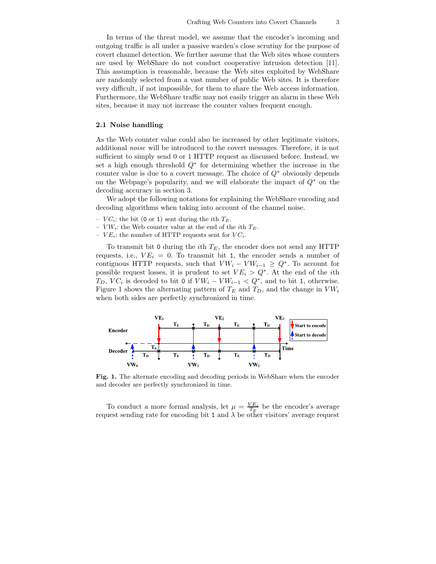In terms of the threat model, we assume that the encoder's incoming and outgoing traffic is all under a passive warden's close scrutiny for the purpose of covert channel detection. We further assume that the Web sites whose counters are used by WebShare do not conduct cooperative intrusion detection [11]. This assumption is reasonable, because the Web sites exploited by WebShare are randomly selected from a vast number of public Web sites. It is therefore very difficult, if not impossible, for them to share the Web access information. Furthermore, the WebShare traffic may not easily trigger an alarm in these Web sites, because it may not increase the counter values frequent enough.

#### 2.1 Noise handling

As the Web counter value could also be increased by other legitimate visitors, additional *noise* will be introduced to the covert messages. Therefore, it is not sufficient to simply send 0 or 1 HTTP request as discussed before. Instead, we set a high enough threshold  $Q^*$  for determining whether the increase in the counter value is due to a covert message. The choice of  $Q^*$  obviously depends on the Webpage's popularity, and we will elaborate the impact of  $Q^*$  on the decoding accuracy in section 3.

We adopt the following notations for explaining the WebShare encoding and decoding algorithms when taking into account of the channel noise.

- $VC_i$ : the bit (0 or 1) sent during the *i*<sup>th</sup>  $T_E$ .
- $V W_i$ : the Web counter value at the end of the *i*th  $T_E$ .
- $VE_i$ : the number of HTTP requests sent for  $VC_i$ .

To transmit bit 0 during the *i*th  $T_E$ , the encoder does not send any HTTP requests, i.e.,  $VE_i = 0$ . To transmit bit 1, the encoder sends a number of contiguous HTTP requests, such that  $V W_i - V W_{i-1} \geq Q^*$ . To account for possible request losses, it is prudent to set  $VE_i > Q^*$ . At the end of the *i*th  $T_D$ ,  $VC_i$  is decoded to bit 0 if  $VW_i - VW_{i-1} < Q^*$ , and to bit 1, otherwise. Figure 1 shows the alternating pattern of  $T_E$  and  $T_D$ , and the change in  $V W_i$ when both sides are perfectly synchronized in time.



Fig. 1. The alternate encoding and decoding periods in WebShare when the encoder and decoder are perfectly synchronized in time.

To conduct a more formal analysis, let  $\mu = \frac{VE_i}{T_E}$  be the encoder's average request sending rate for encoding bit 1 and  $\lambda$  be other visitors' average request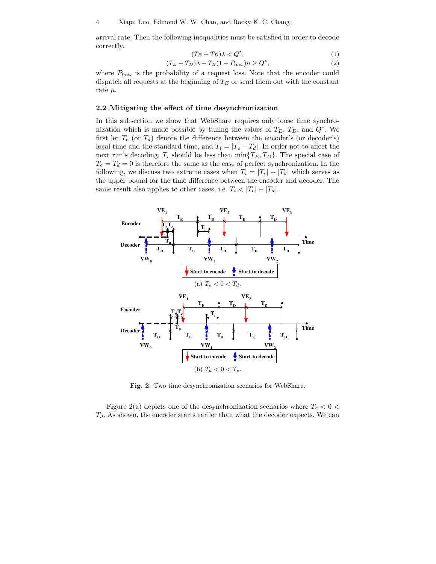arrival rate. Then the following inequalities must be satisfied in order to decode correctly.

$$
(T_E + T_D)\lambda < Q^*.\tag{1}
$$

$$
(T_E + T_D)\lambda + T_E(1 - P_{loss})\mu \ge Q^*,\tag{2}
$$

where  $P_{loss}$  is the probability of a request loss. Note that the encoder could dispatch all requests at the beginning of  $T_E$  or send them out with the constant rate  $\mu$ .

#### 2.2 Mitigating the effect of time desynchronization

In this subsection we show that WebShare requires only loose time synchronization which is made possible by tuning the values of  $T_E$ ,  $T_D$ , and  $Q^*$ . We first let  $T_e$  (or  $T_d$ ) denote the difference between the encoder's (or decoder's) local time and the standard time, and  $T_i = |T_e - T_d|$ . In order not to affect the next run's decoding,  $T_i$  should be less than  $\min\{T_E, T_D\}$ . The special case of  $T_e = T_d = 0$  is therefore the same as the case of perfect synchronization. In the following, we discuss two extreme cases when  $T_i = |T_e| + |T_d|$  which serves as the upper bound for the time difference between the encoder and decoder. The same result also applies to other cases, i.e.  $T_i < |T_e| + |T_d|$ .



Fig. 2. Two time desynchronization scenarios for WebShare.

Figure 2(a) depicts one of the desynchronization scenarios where  $T_e < 0 <$  $T<sub>d</sub>$ . As shown, the encoder starts earlier than what the decoder expects. We can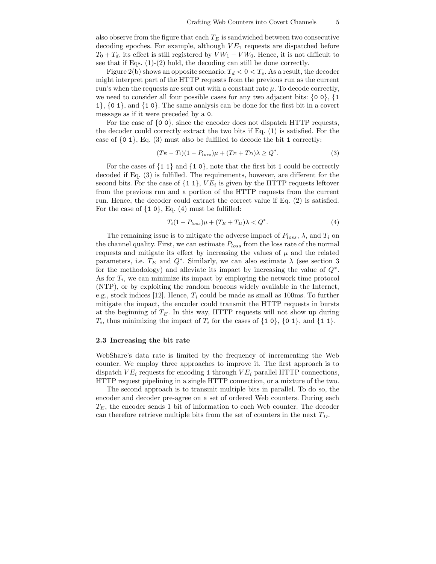also observe from the figure that each  $T_E$  is sandwiched between two consecutive decoding epoches. For example, although  $VE<sub>1</sub>$  requests are dispatched before  $T_0 + T_d$ , its effect is still registered by  $V W_1 - V W_0$ . Hence, it is not difficult to see that if Eqs. (1)-(2) hold, the decoding can still be done correctly.

Figure 2(b) shows an opposite scenario:  $T_d < 0 < T_e$ . As a result, the decoder might interpret part of the HTTP requests from the previous run as the current run's when the requests are sent out with a constant rate  $\mu$ . To decode correctly, we need to consider all four possible cases for any two adjacent bits:  $\{0\ 0\}$ ,  $\{1\}$ 1}, {0 1}, and {1 0}. The same analysis can be done for the first bit in a covert message as if it were preceded by a 0.

For the case of {0 0}, since the encoder does not dispatch HTTP requests, the decoder could correctly extract the two bits if Eq. (1) is satisfied. For the case of  $\{0, 1\}$ , Eq.  $(3)$  must also be fulfilled to decode the bit 1 correctly:

$$
(T_E - T_i)(1 - P_{loss})\mu + (T_E + T_D)\lambda \ge Q^*.
$$
\n
$$
(3)
$$

For the cases of  $\{1\ 1\}$  and  $\{1\ 0\}$ , note that the first bit 1 could be correctly decoded if Eq. (3) is fulfilled. The requirements, however, are different for the second bits. For the case of  $\{1\ 1\}$ ,  $VE_i$  is given by the HTTP requests leftover from the previous run and a portion of the HTTP requests from the current run. Hence, the decoder could extract the correct value if Eq. (2) is satisfied. For the case of  $\{1\ 0\}$ , Eq.  $(4)$  must be fulfilled:

$$
T_i(1 - P_{loss})\mu + (T_E + T_D)\lambda < Q^*.\tag{4}
$$

The remaining issue is to mitigate the adverse impact of  $P_{loss}$ ,  $\lambda$ , and  $T_i$  on the channel quality. First, we can estimate  $P_{loss}$  from the loss rate of the normal requests and mitigate its effect by increasing the values of  $\mu$  and the related parameters, i.e.  $T_E$  and  $Q^*$ . Similarly, we can also estimate  $\lambda$  (see section 3 for the methodology) and alleviate its impact by increasing the value of  $Q^*$ . As for  $T_i$ , we can minimize its impact by employing the network time protocol (NTP), or by exploiting the random beacons widely available in the Internet, e.g., stock indices [12]. Hence,  $T_i$  could be made as small as 100ms. To further mitigate the impact, the encoder could transmit the HTTP requests in bursts at the beginning of  $T_E$ . In this way, HTTP requests will not show up during  $T_i$ , thus minimizing the impact of  $T_i$  for the cases of  $\{1\ 0\}$ ,  $\{0\ 1\}$ , and  $\{1\ 1\}$ .

#### 2.3 Increasing the bit rate

WebShare's data rate is limited by the frequency of incrementing the Web counter. We employ three approaches to improve it. The first approach is to dispatch  $VE_i$  requests for encoding 1 through  $VE_i$  parallel HTTP connections, HTTP request pipelining in a single HTTP connection, or a mixture of the two.

The second approach is to transmit multiple bits in parallel. To do so, the encoder and decoder pre-agree on a set of ordered Web counters. During each  $T_E$ , the encoder sends 1 bit of information to each Web counter. The decoder can therefore retrieve multiple bits from the set of counters in the next  $T_D$ .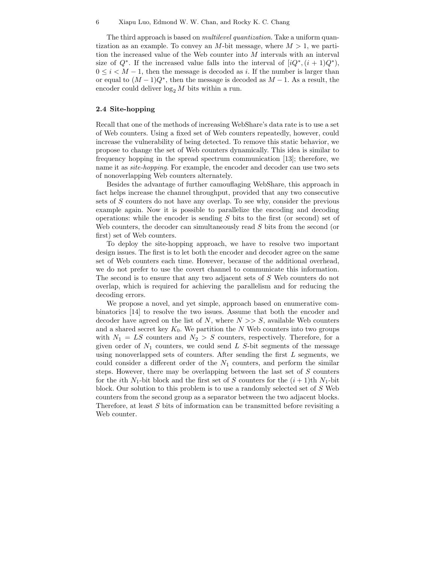The third approach is based on *multilevel quantization*. Take a uniform quantization as an example. To convey an M-bit message, where  $M > 1$ , we partition the increased value of the Web counter into M intervals with an interval size of  $Q^*$ . If the increased value falls into the interval of  $[iQ^*, (i + 1)Q^*)$ ,  $0 \leq i \leq M-1$ , then the message is decoded as i. If the number is larger than or equal to  $(M-1)Q^*$ , then the message is decoded as  $M-1$ . As a result, the encoder could deliver  $\log_2 M$  bits within a run.

### 2.4 Site-hopping

Recall that one of the methods of increasing WebShare's data rate is to use a set of Web counters. Using a fixed set of Web counters repeatedly, however, could increase the vulnerability of being detected. To remove this static behavior, we propose to change the set of Web counters dynamically. This idea is similar to frequency hopping in the spread spectrum communication [13]; therefore, we name it as *site-hopping*. For example, the encoder and decoder can use two sets of nonoverlapping Web counters alternately.

Besides the advantage of further camouflaging WebShare, this approach in fact helps increase the channel throughput, provided that any two consecutive sets of S counters do not have any overlap. To see why, consider the previous example again. Now it is possible to parallelize the encoding and decoding operations: while the encoder is sending S bits to the first (or second) set of Web counters, the decoder can simultaneously read S bits from the second (or first) set of Web counters.

To deploy the site-hopping approach, we have to resolve two important design issues. The first is to let both the encoder and decoder agree on the same set of Web counters each time. However, because of the additional overhead, we do not prefer to use the covert channel to communicate this information. The second is to ensure that any two adjacent sets of S Web counters do not overlap, which is required for achieving the parallelism and for reducing the decoding errors.

We propose a novel, and yet simple, approach based on enumerative combinatorics [14] to resolve the two issues. Assume that both the encoder and decoder have agreed on the list of N, where  $N \gg S$ , available Web counters and a shared secret key  $K_0$ . We partition the N Web counters into two groups with  $N_1 = LS$  counters and  $N_2 > S$  counters, respectively. Therefore, for a given order of  $N_1$  counters, we could send  $L$   $S$ -bit segments of the message using nonoverlapped sets of counters. After sending the first  $L$  segments, we could consider a different order of the  $N_1$  counters, and perform the similar steps. However, there may be overlapping between the last set of  $S$  counters for the *i*th  $N_1$ -bit block and the first set of S counters for the  $(i + 1)$ th  $N_1$ -bit block. Our solution to this problem is to use a randomly selected set of S Web counters from the second group as a separator between the two adjacent blocks. Therefore, at least S bits of information can be transmitted before revisiting a Web counter.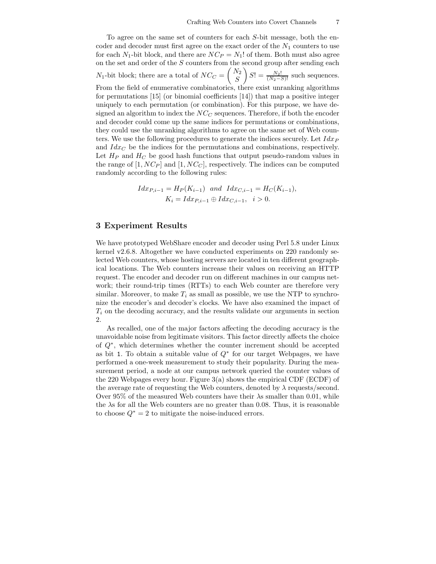To agree on the same set of counters for each S-bit message, both the encoder and decoder must first agree on the exact order of the  $N_1$  counters to use for each  $N_1$ -bit block, and there are  $NC_P = N_1!$  of them. Both must also agree on the set and order of the  $S$  counters from the second group after sending each  $N_1$ -bit block; there are a total of  $NC_C = \begin{pmatrix} N_2 \\ S \end{pmatrix}$ S  $S! = \frac{N_2!}{(N_2-S)!}$  such sequences. From the field of enumerative combinatorics, there exist unranking algorithms for permutations [15] (or binomial coefficients [14]) that map a positive integer uniquely to each permutation (or combination). For this purpose, we have designed an algorithm to index the  $NC_C$  sequences. Therefore, if both the encoder and decoder could come up the same indices for permutations or combinations, they could use the unranking algorithms to agree on the same set of Web counters. We use the following procedures to generate the indices securely. Let  $Idx_P$ and  $Idx_C$  be the indices for the permutations and combinations, respectively. Let  $H_P$  and  $H_C$  be good hash functions that output pseudo-random values in the range of  $[1, NC_P]$  and  $[1, NC_C]$ , respectively. The indices can be computed randomly according to the following rules:

$$
Idx_{P,i-1} = H_P(K_{i-1}) \text{ and } Idx_{C,i-1} = H_C(K_{i-1}),
$$
  

$$
K_i = Idx_{P,i-1} \oplus Idx_{C,i-1}, \quad i > 0.
$$

#### 3 Experiment Results

We have prototyped WebShare encoder and decoder using Perl 5.8 under Linux kernel v2.6.8. Altogether we have conducted experiments on 220 randomly selected Web counters, whose hosting servers are located in ten different geographical locations. The Web counters increase their values on receiving an HTTP request. The encoder and decoder run on different machines in our campus network; their round-trip times (RTTs) to each Web counter are therefore very similar. Moreover, to make  $T_i$  as small as possible, we use the NTP to synchronize the encoder's and decoder's clocks. We have also examined the impact of  $T_i$  on the decoding accuracy, and the results validate our arguments in section 2.

As recalled, one of the major factors affecting the decoding accuracy is the unavoidable noise from legitimate visitors. This factor directly affects the choice of Q<sup>∗</sup> , which determines whether the counter increment should be accepted as bit 1. To obtain a suitable value of  $Q^*$  for our target Webpages, we have performed a one-week measurement to study their popularity. During the measurement period, a node at our campus network queried the counter values of the 220 Webpages every hour. Figure 3(a) shows the empirical CDF (ECDF) of the average rate of requesting the Web counters, denoted by  $\lambda$  requests/second. Over  $95\%$  of the measured Web counters have their  $\lambda$ s smaller than 0.01, while the  $\lambda$ s for all the Web counters are no greater than 0.08. Thus, it is reasonable to choose  $Q^* = 2$  to mitigate the noise-induced errors.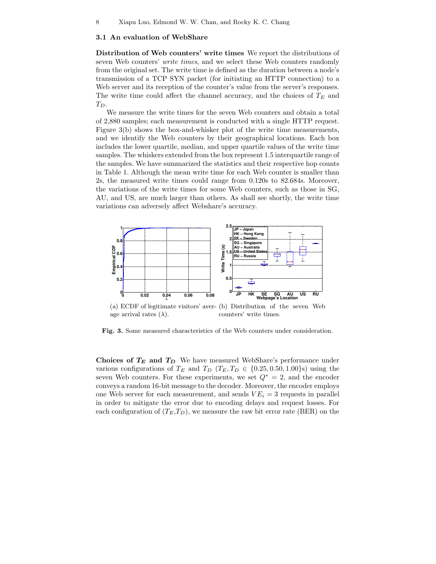#### 3.1 An evaluation of WebShare

Distribution of Web counters' write times We report the distributions of seven Web counters' write times, and we select these Web counters randomly from the original set. The write time is defined as the duration between a node's transmission of a TCP SYN packet (for initiating an HTTP connection) to a Web server and its reception of the counter's value from the server's responses. The write time could affect the channel accuracy, and the choices of  $T_E$  and  $T_D$ .

We measure the write times for the seven Web counters and obtain a total of 2,880 samples; each measurement is conducted with a single HTTP request. Figure 3(b) shows the box-and-whisker plot of the write time measurements, and we identify the Web counters by their geographical locations. Each box includes the lower quartile, median, and upper quartile values of the write time samples. The whiskers extended from the box represent 1.5 interquartile range of the samples. We have summarized the statistics and their respective hop counts in Table 1. Although the mean write time for each Web counter is smaller than 2s, the measured write times could range from 0.120s to 82.684s. Moreover, the variations of the write times for some Web counters, such as those in SG, AU, and US, are much larger than others. As shall see shortly, the write time variations can adversely affect Webshare's accuracy.



(a) ECDF of legitimate visitors' aver-(b) Distribution of the seven Web age arrival rates  $(\lambda)$ . counters' write times.

Fig. 3. Some measured characteristics of the Web counters under consideration.

Choices of  $T_E$  and  $T_D$  We have measured WebShare's performance under various configurations of  $T_E$  and  $T_D$  ( $T_E, T_D \in \{0.25, 0.50, 1.00\}\text{s}$ ) using the seven Web counters. For these experiments, we set  $Q^* = 2$ , and the encoder conveys a random 16-bit message to the decoder. Moreover, the encoder employs one Web server for each measurement, and sends  $VE_i = 3$  requests in parallel in order to mitigate the error due to encoding delays and request losses. For each configuration of  $(T_E, T_D)$ , we measure the raw bit error rate (BER) on the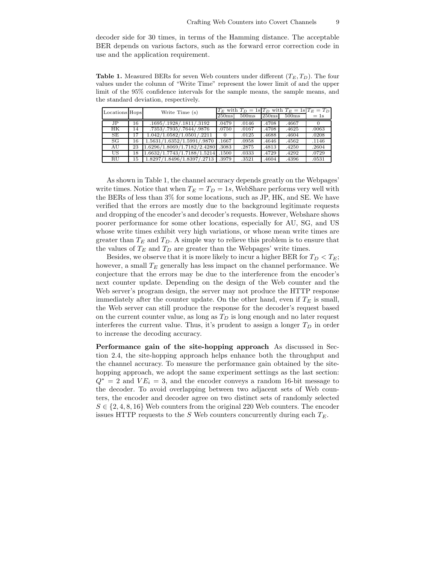decoder side for 30 times, in terms of the Hamming distance. The acceptable BER depends on various factors, such as the forward error correction code in use and the application requirement.

**Table 1.** Measured BERs for seven Web counters under different  $(T_E, T_D)$ . The four values under the column of "Write Time" represent the lower limit of and the upper limit of the 95% confidence intervals for the sample means, the sample means, and the standard deviation, respectively.

| Locations Hops |    | Write Time (s)              |          |       | $T_E$ with $T_D = 1$ s $T_D$ with $T_E = 1$ s $T_E = T_D$ |       |       |
|----------------|----|-----------------------------|----------|-------|-----------------------------------------------------------|-------|-------|
|                |    |                             | 250ms    | 500ms | 250ms                                                     | 500ms | $=1s$ |
| JP             | 16 | .1695/.1928/.1811/.3192     | .0479    | .0146 | .4708                                                     | .4667 |       |
| HK             | 14 | .7353/.7935/.7644/.9876     | .0750    | .0167 | .4708                                                     | .4625 | .0063 |
| SE             |    | 1.042/1.0582/1.0501/02211   | $\Omega$ | .0125 | .4688                                                     | .4604 | .0208 |
| SG             | 16 | 1.5631/1.6352/1.5991/.9870  | .1667    | .0958 | .4646                                                     | .4562 | .1146 |
| AU             | 23 | 1.6296/1.8069/1.7182/2.4280 | .3083    | .2875 | .4813                                                     | .4250 | .2604 |
| US             | 18 | 1.6632/1.7743/1.7188/1.5214 | .1500    | .0333 | .4729                                                     | .4292 | .0729 |
| RU             | 15 | 1.8297/1.8496/1.8397/.2713  | .3979    | .3521 | .4604                                                     | .4396 | .0531 |

As shown in Table 1, the channel accuracy depends greatly on the Webpages' write times. Notice that when  $T_E = T_D = 1s$ , WebShare performs very well with the BERs of less than 3% for some locations, such as JP, HK, and SE. We have verified that the errors are mostly due to the background legitimate requests and dropping of the encoder's and decoder's requests. However, Webshare shows poorer performance for some other locations, especially for AU, SG, and US whose write times exhibit very high variations, or whose mean write times are greater than  $T_E$  and  $T_D$ . A simple way to relieve this problem is to ensure that the values of  $T_E$  and  $T_D$  are greater than the Webpages' write times.

Besides, we observe that it is more likely to incur a higher BER for  $T_D < T_E$ ; however, a small  $T_E$  generally has less impact on the channel performance. We conjecture that the errors may be due to the interference from the encoder's next counter update. Depending on the design of the Web counter and the Web server's program design, the server may not produce the HTTP response immediately after the counter update. On the other hand, even if  $T_E$  is small, the Web server can still produce the response for the decoder's request based on the current counter value, as long as  $T_D$  is long enough and no later request interferes the current value. Thus, it's prudent to assign a longer  $T_D$  in order to increase the decoding accuracy.

Performance gain of the site-hopping approach As discussed in Section 2.4, the site-hopping approach helps enhance both the throughput and the channel accuracy. To measure the performance gain obtained by the sitehopping approach, we adopt the same experiment settings as the last section:  $Q^* = 2$  and  $VE_i = 3$ , and the encoder conveys a random 16-bit message to the decoder. To avoid overlapping between two adjacent sets of Web counters, the encoder and decoder agree on two distinct sets of randomly selected  $S \in \{2, 4, 8, 16\}$  Web counters from the original 220 Web counters. The encoder issues HTTP requests to the  $S$  Web counters concurrently during each  $T_E$ .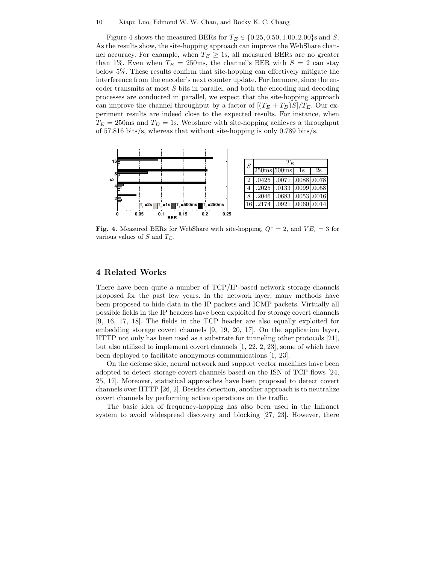#### 10 Xiapu Luo, Edmond W. W. Chan, and Rocky K. C. Chang

Figure 4 shows the measured BERs for  $T_E \in \{0.25, 0.50, 1.00, 2.00\}$ s and S. As the results show, the site-hopping approach can improve the WebShare channel accuracy. For example, when  $T_E \geq 1$ s, all measured BERs are no greater than 1%. Even when  $T_E = 250$ ms, the channel's BER with  $S = 2$  can stay below 5%. These results confirm that site-hopping can effectively mitigate the interference from the encoder's next counter update. Furthermore, since the encoder transmits at most  $S$  bits in parallel, and both the encoding and decoding processes are conducted in parallel, we expect that the site-hopping approach can improve the channel throughput by a factor of  $[(T_E+T_D)S]/T_E$ . Our experiment results are indeed close to the expected results. For instance, when  $T_E = 250$ ms and  $T_D = 1$ s, Webshare with site-hopping achieves a throughput of 57.816 bits/s, whereas that without site-hopping is only 0.789 bits/s.



Fig. 4. Measured BERs for WebShare with site-hopping,  $Q^* = 2$ , and  $VE_i = 3$  for various values of  $S$  and  $T_E$ .

## 4 Related Works

There have been quite a number of TCP/IP-based network storage channels proposed for the past few years. In the network layer, many methods have been proposed to hide data in the IP packets and ICMP packets. Virtually all possible fields in the IP headers have been exploited for storage covert channels [9, 16, 17, 18]. The fields in the TCP header are also equally exploited for embedding storage covert channels [9, 19, 20, 17]. On the application layer, HTTP not only has been used as a substrate for tunneling other protocols [21], but also utilized to implement covert channels [1, 22, 2, 23], some of which have been deployed to facilitate anonymous communications [1, 23].

On the defense side, neural network and support vector machines have been adopted to detect storage covert channels based on the ISN of TCP flows [24, 25, 17]. Moreover, statistical approaches have been proposed to detect covert channels over HTTP [26, 2]. Besides detection, another approach is to neutralize covert channels by performing active operations on the traffic.

The basic idea of frequency-hopping has also been used in the Infranet system to avoid widespread discovery and blocking [27, 23]. However, there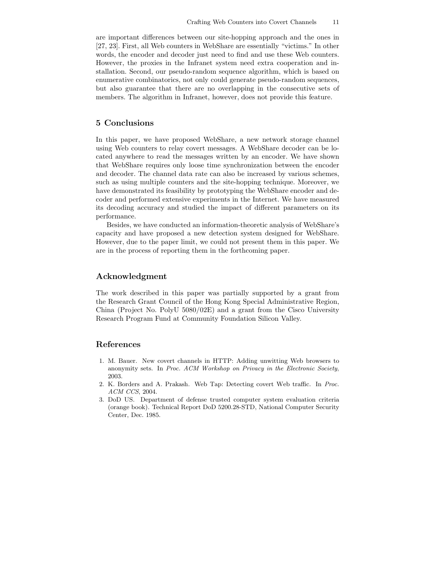are important differences between our site-hopping approach and the ones in [27, 23]. First, all Web counters in WebShare are essentially "victims." In other words, the encoder and decoder just need to find and use these Web counters. However, the proxies in the Infranet system need extra cooperation and installation. Second, our pseudo-random sequence algorithm, which is based on enumerative combinatorics, not only could generate pseudo-random sequences, but also guarantee that there are no overlapping in the consecutive sets of members. The algorithm in Infranet, however, does not provide this feature.

## 5 Conclusions

In this paper, we have proposed WebShare, a new network storage channel using Web counters to relay covert messages. A WebShare decoder can be located anywhere to read the messages written by an encoder. We have shown that WebShare requires only loose time synchronization between the encoder and decoder. The channel data rate can also be increased by various schemes, such as using multiple counters and the site-hopping technique. Moreover, we have demonstrated its feasibility by prototyping the WebShare encoder and decoder and performed extensive experiments in the Internet. We have measured its decoding accuracy and studied the impact of different parameters on its performance.

Besides, we have conducted an information-theoretic analysis of WebShare's capacity and have proposed a new detection system designed for WebShare. However, due to the paper limit, we could not present them in this paper. We are in the process of reporting them in the forthcoming paper.

## Acknowledgment

The work described in this paper was partially supported by a grant from the Research Grant Council of the Hong Kong Special Administrative Region, China (Project No. PolyU  $5080/02E$ ) and a grant from the Cisco University Research Program Fund at Community Foundation Silicon Valley.

## References

- 1. M. Bauer. New covert channels in HTTP: Adding unwitting Web browsers to anonymity sets. In Proc. ACM Workshop on Privacy in the Electronic Society, 2003.
- 2. K. Borders and A. Prakash. Web Tap: Detecting covert Web traffic. In Proc. ACM CCS, 2004.
- 3. DoD US. Department of defense trusted computer system evaluation criteria (orange book). Technical Report DoD 5200.28-STD, National Computer Security Center, Dec. 1985.